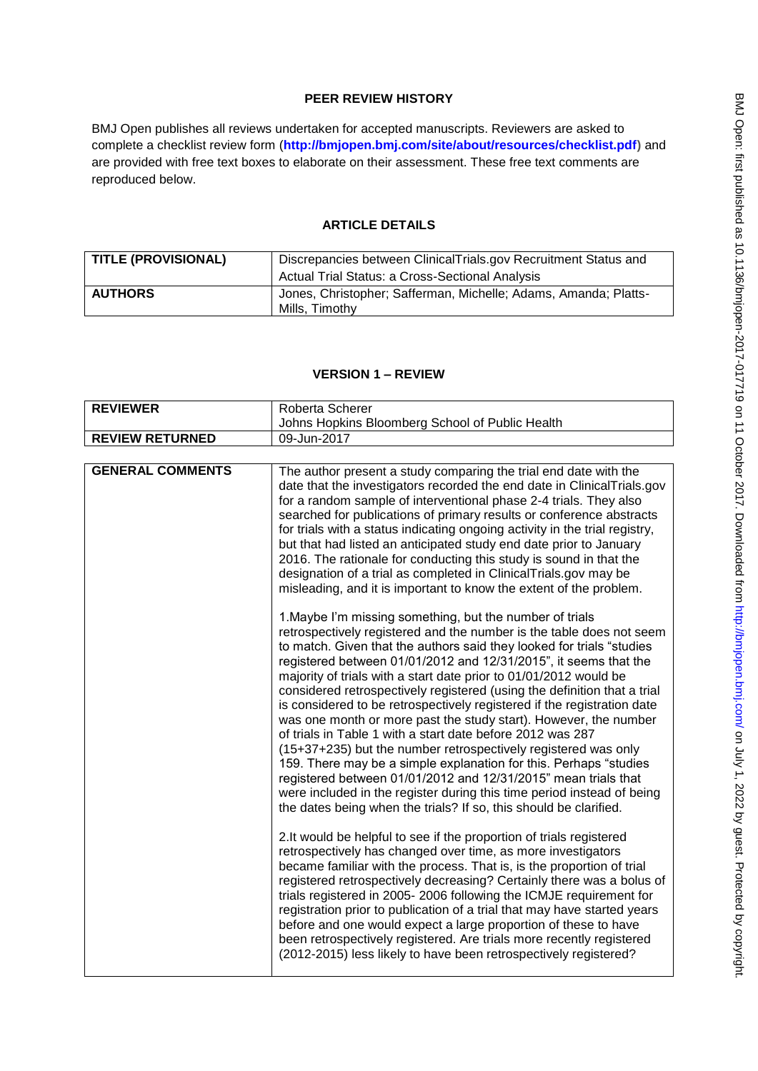# **PEER REVIEW HISTORY**

BMJ Open publishes all reviews undertaken for accepted manuscripts. Reviewers are asked to complete a checklist review form (**[http://bmjopen.bmj.com/site/about/resources/checklist.pdf\)](http://bmjopen.bmj.com/site/about/resources/checklist.pdf)** and are provided with free text boxes to elaborate on their assessment. These free text comments are reproduced below.

## **ARTICLE DETAILS**

| <b>TITLE (PROVISIONAL)</b> | Discrepancies between ClinicalTrials.gov Recruitment Status and<br><b>Actual Trial Status: a Cross-Sectional Analysis</b> |
|----------------------------|---------------------------------------------------------------------------------------------------------------------------|
| <b>AUTHORS</b>             | Jones, Christopher; Safferman, Michelle; Adams, Amanda; Platts-<br>Mills. Timothy                                         |

### **VERSION 1 – REVIEW**

| <b>REVIEWER</b>         | Roberta Scherer                                                                                                                                                                                                                                                                                                                                                                                                                                                                                                                                                                                                                                                                                                                                                                                                                                                                                                                                                                                     |
|-------------------------|-----------------------------------------------------------------------------------------------------------------------------------------------------------------------------------------------------------------------------------------------------------------------------------------------------------------------------------------------------------------------------------------------------------------------------------------------------------------------------------------------------------------------------------------------------------------------------------------------------------------------------------------------------------------------------------------------------------------------------------------------------------------------------------------------------------------------------------------------------------------------------------------------------------------------------------------------------------------------------------------------------|
|                         | Johns Hopkins Bloomberg School of Public Health                                                                                                                                                                                                                                                                                                                                                                                                                                                                                                                                                                                                                                                                                                                                                                                                                                                                                                                                                     |
| <b>REVIEW RETURNED</b>  | 09-Jun-2017                                                                                                                                                                                                                                                                                                                                                                                                                                                                                                                                                                                                                                                                                                                                                                                                                                                                                                                                                                                         |
|                         |                                                                                                                                                                                                                                                                                                                                                                                                                                                                                                                                                                                                                                                                                                                                                                                                                                                                                                                                                                                                     |
| <b>GENERAL COMMENTS</b> | The author present a study comparing the trial end date with the<br>date that the investigators recorded the end date in ClinicalTrials.gov<br>for a random sample of interventional phase 2-4 trials. They also<br>searched for publications of primary results or conference abstracts<br>for trials with a status indicating ongoing activity in the trial registry,<br>but that had listed an anticipated study end date prior to January<br>2016. The rationale for conducting this study is sound in that the<br>designation of a trial as completed in ClinicalTrials.gov may be<br>misleading, and it is important to know the extent of the problem.                                                                                                                                                                                                                                                                                                                                       |
|                         | 1. Maybe I'm missing something, but the number of trials<br>retrospectively registered and the number is the table does not seem<br>to match. Given that the authors said they looked for trials "studies<br>registered between 01/01/2012 and 12/31/2015", it seems that the<br>majority of trials with a start date prior to 01/01/2012 would be<br>considered retrospectively registered (using the definition that a trial<br>is considered to be retrospectively registered if the registration date<br>was one month or more past the study start). However, the number<br>of trials in Table 1 with a start date before 2012 was 287<br>(15+37+235) but the number retrospectively registered was only<br>159. There may be a simple explanation for this. Perhaps "studies<br>registered between 01/01/2012 and 12/31/2015" mean trials that<br>were included in the register during this time period instead of being<br>the dates being when the trials? If so, this should be clarified. |
|                         | 2. It would be helpful to see if the proportion of trials registered<br>retrospectively has changed over time, as more investigators<br>became familiar with the process. That is, is the proportion of trial<br>registered retrospectively decreasing? Certainly there was a bolus of<br>trials registered in 2005-2006 following the ICMJE requirement for<br>registration prior to publication of a trial that may have started years<br>before and one would expect a large proportion of these to have<br>been retrospectively registered. Are trials more recently registered<br>(2012-2015) less likely to have been retrospectively registered?                                                                                                                                                                                                                                                                                                                                             |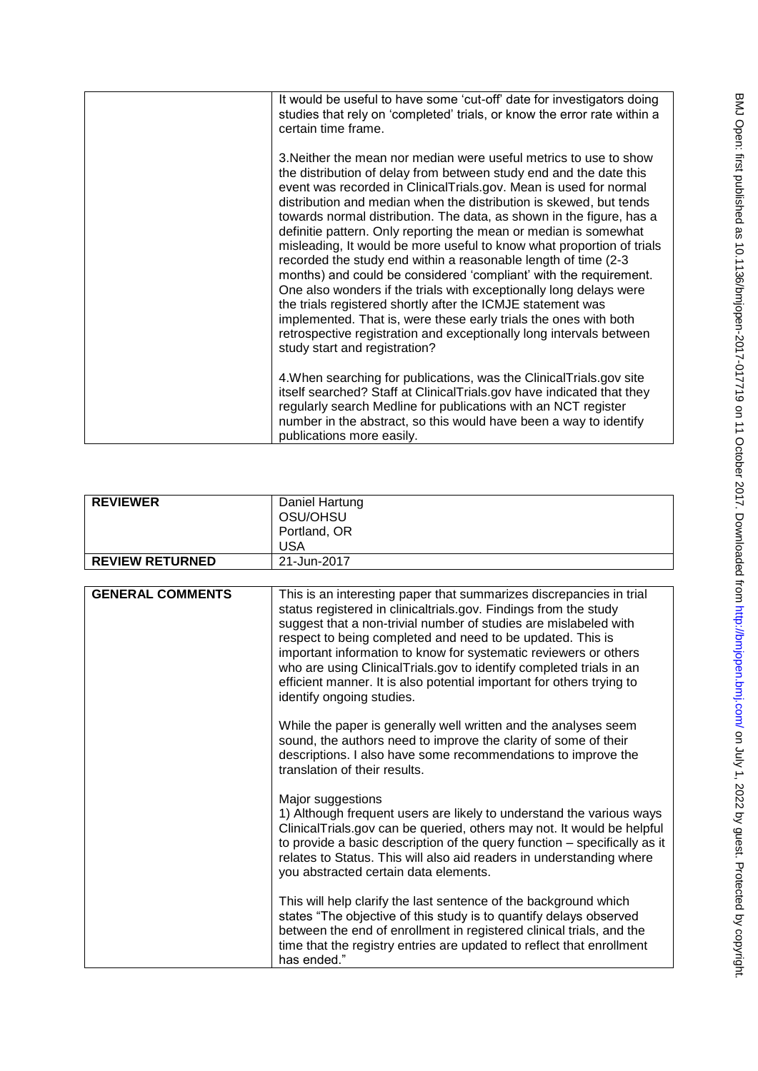| It would be useful to have some 'cut-off' date for investigators doing<br>studies that rely on 'completed' trials, or know the error rate within a<br>certain time frame.                                                                                                                                                                                                                                                                                                                                                                                                                                                                                                                                                                                                                                                                                                                                                                                       |
|-----------------------------------------------------------------------------------------------------------------------------------------------------------------------------------------------------------------------------------------------------------------------------------------------------------------------------------------------------------------------------------------------------------------------------------------------------------------------------------------------------------------------------------------------------------------------------------------------------------------------------------------------------------------------------------------------------------------------------------------------------------------------------------------------------------------------------------------------------------------------------------------------------------------------------------------------------------------|
| 3. Neither the mean nor median were useful metrics to use to show<br>the distribution of delay from between study end and the date this<br>event was recorded in ClinicalTrials.gov. Mean is used for normal<br>distribution and median when the distribution is skewed, but tends<br>towards normal distribution. The data, as shown in the figure, has a<br>definitie pattern. Only reporting the mean or median is somewhat<br>misleading, It would be more useful to know what proportion of trials<br>recorded the study end within a reasonable length of time (2-3<br>months) and could be considered 'compliant' with the requirement.<br>One also wonders if the trials with exceptionally long delays were<br>the trials registered shortly after the ICMJE statement was<br>implemented. That is, were these early trials the ones with both<br>retrospective registration and exceptionally long intervals between<br>study start and registration? |
| 4. When searching for publications, was the Clinical Trials.gov site<br>itself searched? Staff at ClinicalTrials.gov have indicated that they<br>regularly search Medline for publications with an NCT register<br>number in the abstract, so this would have been a way to identify<br>publications more easily.                                                                                                                                                                                                                                                                                                                                                                                                                                                                                                                                                                                                                                               |

| <b>REVIEWER</b>        | Daniel Hartung<br>OSU/OHSU<br>Portland, OR<br><b>USA</b> |
|------------------------|----------------------------------------------------------|
| <b>REVIEW RETURNED</b> | 21-Jun-2017                                              |

| <b>GENERAL COMMENTS</b> | This is an interesting paper that summarizes discrepancies in trial<br>status registered in clinicaltrials.gov. Findings from the study<br>suggest that a non-trivial number of studies are mislabeled with<br>respect to being completed and need to be updated. This is<br>important information to know for systematic reviewers or others<br>who are using ClinicalTrials.gov to identify completed trials in an<br>efficient manner. It is also potential important for others trying to<br>identify ongoing studies. |
|-------------------------|----------------------------------------------------------------------------------------------------------------------------------------------------------------------------------------------------------------------------------------------------------------------------------------------------------------------------------------------------------------------------------------------------------------------------------------------------------------------------------------------------------------------------|
|                         | While the paper is generally well written and the analyses seem<br>sound, the authors need to improve the clarity of some of their<br>descriptions. I also have some recommendations to improve the<br>translation of their results.                                                                                                                                                                                                                                                                                       |
|                         | Major suggestions<br>1) Although frequent users are likely to understand the various ways<br>ClinicalTrials.gov can be queried, others may not. It would be helpful<br>to provide a basic description of the query function - specifically as it<br>relates to Status. This will also aid readers in understanding where<br>you abstracted certain data elements.                                                                                                                                                          |
|                         | This will help clarify the last sentence of the background which<br>states "The objective of this study is to quantify delays observed<br>between the end of enrollment in registered clinical trials, and the<br>time that the registry entries are updated to reflect that enrollment<br>has ended."                                                                                                                                                                                                                     |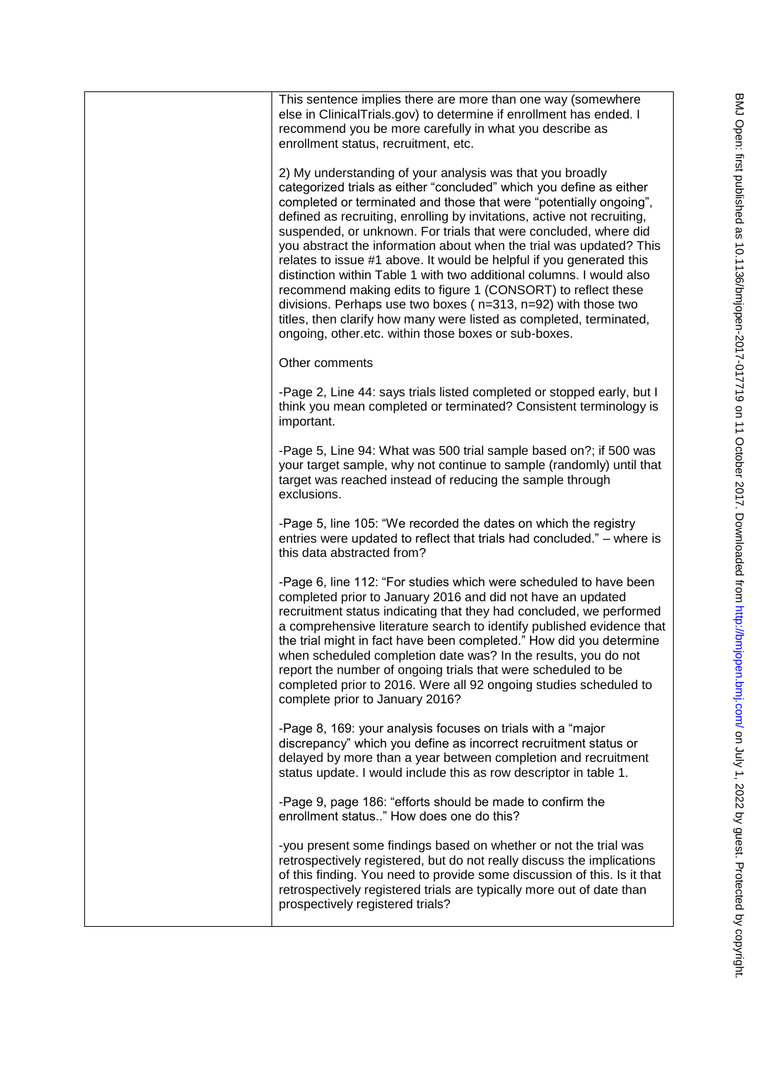| This sentence implies there are more than one way (somewhere<br>else in ClinicalTrials.gov) to determine if enrollment has ended. I<br>recommend you be more carefully in what you describe as<br>enrollment status, recruitment, etc.                                                                                                                                                                                                                                                                                                                                                                                                                                                                                                                                                                                                               |
|------------------------------------------------------------------------------------------------------------------------------------------------------------------------------------------------------------------------------------------------------------------------------------------------------------------------------------------------------------------------------------------------------------------------------------------------------------------------------------------------------------------------------------------------------------------------------------------------------------------------------------------------------------------------------------------------------------------------------------------------------------------------------------------------------------------------------------------------------|
| 2) My understanding of your analysis was that you broadly<br>categorized trials as either "concluded" which you define as either<br>completed or terminated and those that were "potentially ongoing",<br>defined as recruiting, enrolling by invitations, active not recruiting,<br>suspended, or unknown. For trials that were concluded, where did<br>you abstract the information about when the trial was updated? This<br>relates to issue #1 above. It would be helpful if you generated this<br>distinction within Table 1 with two additional columns. I would also<br>recommend making edits to figure 1 (CONSORT) to reflect these<br>divisions. Perhaps use two boxes ( $n=313$ , $n=92$ ) with those two<br>titles, then clarify how many were listed as completed, terminated,<br>ongoing, other etc. within those boxes or sub-boxes. |
| Other comments                                                                                                                                                                                                                                                                                                                                                                                                                                                                                                                                                                                                                                                                                                                                                                                                                                       |
| -Page 2, Line 44: says trials listed completed or stopped early, but I<br>think you mean completed or terminated? Consistent terminology is<br>important.                                                                                                                                                                                                                                                                                                                                                                                                                                                                                                                                                                                                                                                                                            |
| -Page 5, Line 94: What was 500 trial sample based on?; if 500 was<br>your target sample, why not continue to sample (randomly) until that<br>target was reached instead of reducing the sample through<br>exclusions.                                                                                                                                                                                                                                                                                                                                                                                                                                                                                                                                                                                                                                |
| -Page 5, line 105: "We recorded the dates on which the registry<br>entries were updated to reflect that trials had concluded." - where is<br>this data abstracted from?                                                                                                                                                                                                                                                                                                                                                                                                                                                                                                                                                                                                                                                                              |
| -Page 6, line 112: "For studies which were scheduled to have been<br>completed prior to January 2016 and did not have an updated<br>recruitment status indicating that they had concluded, we performed<br>a comprehensive literature search to identify published evidence that<br>the trial might in fact have been completed." How did you determine<br>when scheduled completion date was? In the results, you do not<br>report the number of ongoing trials that were scheduled to be<br>completed prior to 2016. Were all 92 ongoing studies scheduled to<br>complete prior to January 2016?                                                                                                                                                                                                                                                   |
| -Page 8, 169: your analysis focuses on trials with a "major<br>discrepancy" which you define as incorrect recruitment status or<br>delayed by more than a year between completion and recruitment<br>status update. I would include this as row descriptor in table 1.                                                                                                                                                                                                                                                                                                                                                                                                                                                                                                                                                                               |
| -Page 9, page 186: "efforts should be made to confirm the<br>enrollment status" How does one do this?                                                                                                                                                                                                                                                                                                                                                                                                                                                                                                                                                                                                                                                                                                                                                |
| -you present some findings based on whether or not the trial was<br>retrospectively registered, but do not really discuss the implications<br>of this finding. You need to provide some discussion of this. Is it that<br>retrospectively registered trials are typically more out of date than<br>prospectively registered trials?                                                                                                                                                                                                                                                                                                                                                                                                                                                                                                                  |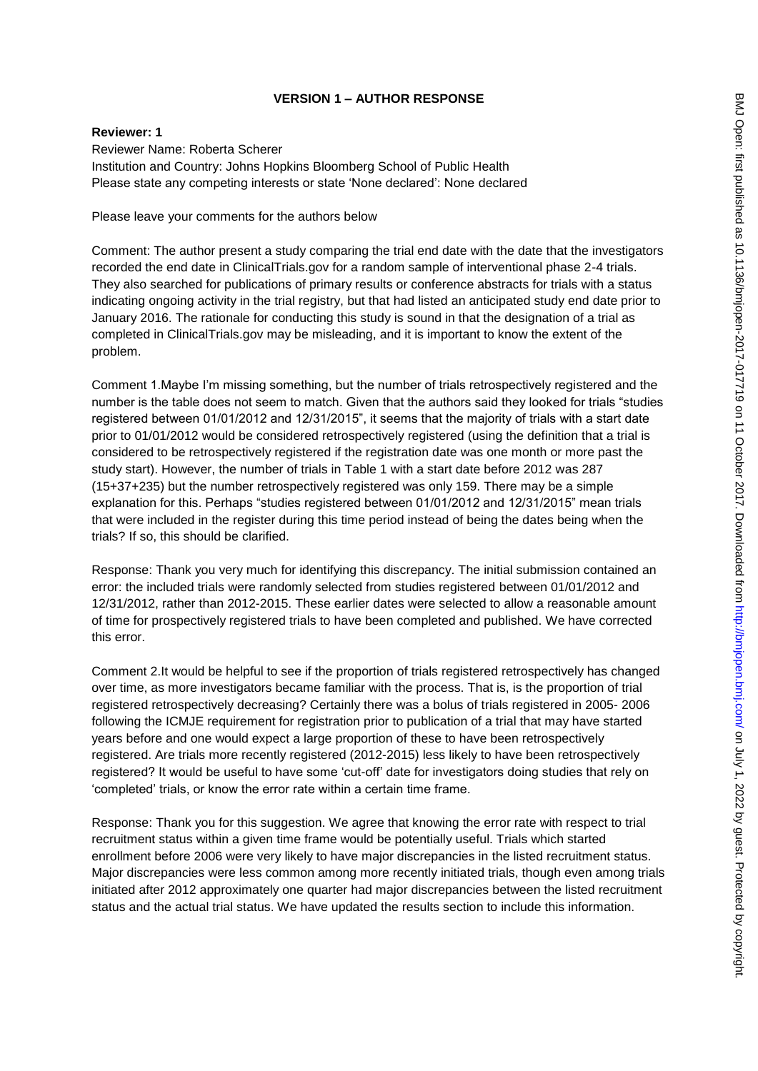# **VERSION 1 – AUTHOR RESPONSE**

## **Reviewer: 1**

Reviewer Name: Roberta Scherer Institution and Country: Johns Hopkins Bloomberg School of Public Health Please state any competing interests or state "None declared": None declared

Please leave your comments for the authors below

Comment: The author present a study comparing the trial end date with the date that the investigators recorded the end date in ClinicalTrials.gov for a random sample of interventional phase 2-4 trials. They also searched for publications of primary results or conference abstracts for trials with a status indicating ongoing activity in the trial registry, but that had listed an anticipated study end date prior to January 2016. The rationale for conducting this study is sound in that the designation of a trial as completed in ClinicalTrials.gov may be misleading, and it is important to know the extent of the problem.

Comment 1.Maybe I"m missing something, but the number of trials retrospectively registered and the number is the table does not seem to match. Given that the authors said they looked for trials "studies registered between 01/01/2012 and 12/31/2015", it seems that the majority of trials with a start date prior to 01/01/2012 would be considered retrospectively registered (using the definition that a trial is considered to be retrospectively registered if the registration date was one month or more past the study start). However, the number of trials in Table 1 with a start date before 2012 was 287 (15+37+235) but the number retrospectively registered was only 159. There may be a simple explanation for this. Perhaps "studies registered between 01/01/2012 and 12/31/2015" mean trials that were included in the register during this time period instead of being the dates being when the trials? If so, this should be clarified.

Response: Thank you very much for identifying this discrepancy. The initial submission contained an error: the included trials were randomly selected from studies registered between 01/01/2012 and 12/31/2012, rather than 2012-2015. These earlier dates were selected to allow a reasonable amount of time for prospectively registered trials to have been completed and published. We have corrected this error.

Comment 2.It would be helpful to see if the proportion of trials registered retrospectively has changed over time, as more investigators became familiar with the process. That is, is the proportion of trial registered retrospectively decreasing? Certainly there was a bolus of trials registered in 2005- 2006 following the ICMJE requirement for registration prior to publication of a trial that may have started years before and one would expect a large proportion of these to have been retrospectively registered. Are trials more recently registered (2012-2015) less likely to have been retrospectively registered? It would be useful to have some "cut-off" date for investigators doing studies that rely on "completed" trials, or know the error rate within a certain time frame.

Response: Thank you for this suggestion. We agree that knowing the error rate with respect to trial recruitment status within a given time frame would be potentially useful. Trials which started enrollment before 2006 were very likely to have major discrepancies in the listed recruitment status. Major discrepancies were less common among more recently initiated trials, though even among trials initiated after 2012 approximately one quarter had major discrepancies between the listed recruitment status and the actual trial status. We have updated the results section to include this information.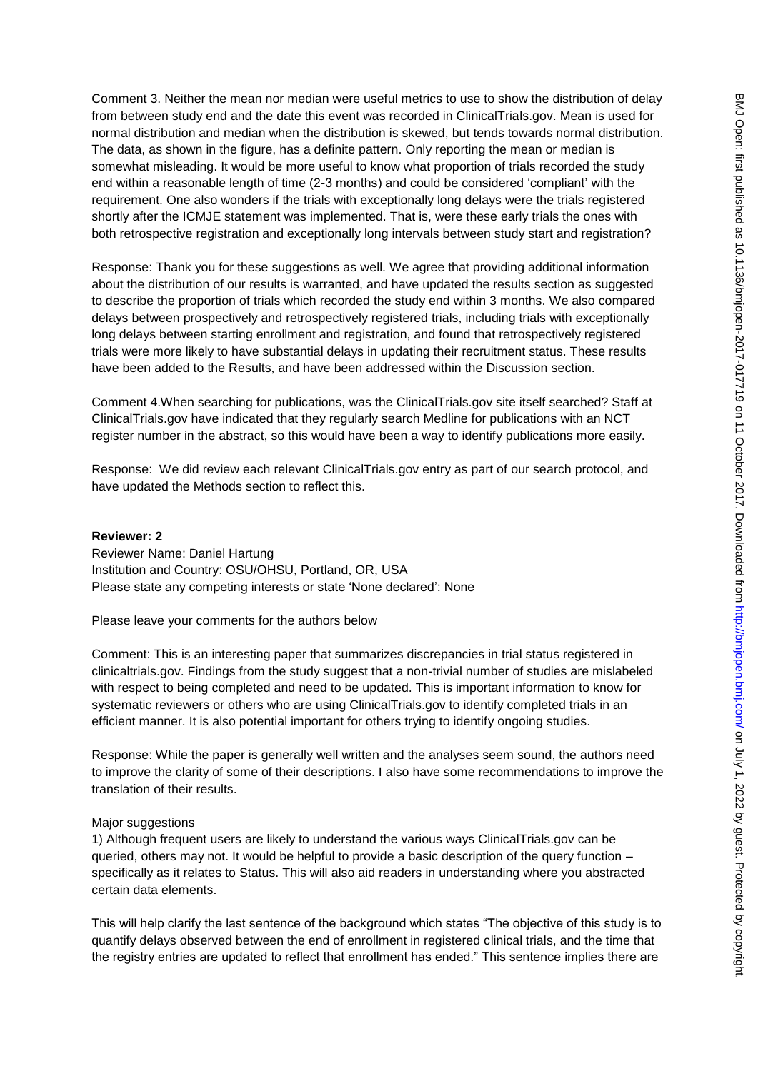Comment 3. Neither the mean nor median were useful metrics to use to show the distribution of delay from between study end and the date this event was recorded in ClinicalTrials.gov. Mean is used for normal distribution and median when the distribution is skewed, but tends towards normal distribution. The data, as shown in the figure, has a definite pattern. Only reporting the mean or median is somewhat misleading. It would be more useful to know what proportion of trials recorded the study end within a reasonable length of time (2-3 months) and could be considered "compliant" with the requirement. One also wonders if the trials with exceptionally long delays were the trials registered shortly after the ICMJE statement was implemented. That is, were these early trials the ones with both retrospective registration and exceptionally long intervals between study start and registration?

Response: Thank you for these suggestions as well. We agree that providing additional information about the distribution of our results is warranted, and have updated the results section as suggested to describe the proportion of trials which recorded the study end within 3 months. We also compared delays between prospectively and retrospectively registered trials, including trials with exceptionally long delays between starting enrollment and registration, and found that retrospectively registered trials were more likely to have substantial delays in updating their recruitment status. These results have been added to the Results, and have been addressed within the Discussion section.

Comment 4.When searching for publications, was the ClinicalTrials.gov site itself searched? Staff at ClinicalTrials.gov have indicated that they regularly search Medline for publications with an NCT register number in the abstract, so this would have been a way to identify publications more easily.

Response: We did review each relevant ClinicalTrials.gov entry as part of our search protocol, and have updated the Methods section to reflect this.

#### **Reviewer: 2**

Reviewer Name: Daniel Hartung Institution and Country: OSU/OHSU, Portland, OR, USA Please state any competing interests or state "None declared": None

Please leave your comments for the authors below

Comment: This is an interesting paper that summarizes discrepancies in trial status registered in clinicaltrials.gov. Findings from the study suggest that a non-trivial number of studies are mislabeled with respect to being completed and need to be updated. This is important information to know for systematic reviewers or others who are using ClinicalTrials.gov to identify completed trials in an efficient manner. It is also potential important for others trying to identify ongoing studies.

Response: While the paper is generally well written and the analyses seem sound, the authors need to improve the clarity of some of their descriptions. I also have some recommendations to improve the translation of their results.

#### Major suggestions

1) Although frequent users are likely to understand the various ways ClinicalTrials.gov can be queried, others may not. It would be helpful to provide a basic description of the query function – specifically as it relates to Status. This will also aid readers in understanding where you abstracted certain data elements.

This will help clarify the last sentence of the background which states "The objective of this study is to quantify delays observed between the end of enrollment in registered clinical trials, and the time that the registry entries are updated to reflect that enrollment has ended." This sentence implies there are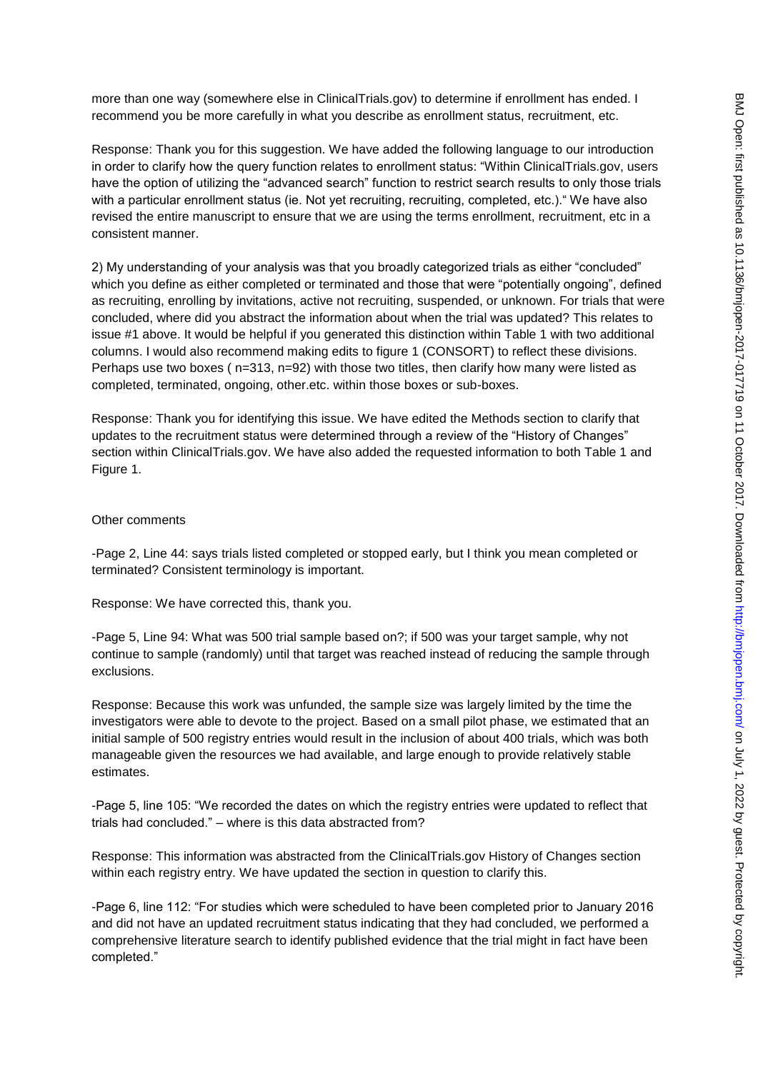more than one way (somewhere else in ClinicalTrials.gov) to determine if enrollment has ended. I recommend you be more carefully in what you describe as enrollment status, recruitment, etc.

Response: Thank you for this suggestion. We have added the following language to our introduction in order to clarify how the query function relates to enrollment status: "Within ClinicalTrials.gov, users have the option of utilizing the "advanced search" function to restrict search results to only those trials with a particular enrollment status (ie. Not yet recruiting, recruiting, completed, etc.). "We have also revised the entire manuscript to ensure that we are using the terms enrollment, recruitment, etc in a consistent manner.

2) My understanding of your analysis was that you broadly categorized trials as either "concluded" which you define as either completed or terminated and those that were "potentially ongoing", defined as recruiting, enrolling by invitations, active not recruiting, suspended, or unknown. For trials that were concluded, where did you abstract the information about when the trial was updated? This relates to issue #1 above. It would be helpful if you generated this distinction within Table 1 with two additional columns. I would also recommend making edits to figure 1 (CONSORT) to reflect these divisions. Perhaps use two boxes ( $n=313$ ,  $n=92$ ) with those two titles, then clarify how many were listed as completed, terminated, ongoing, other.etc. within those boxes or sub-boxes.

Response: Thank you for identifying this issue. We have edited the Methods section to clarify that updates to the recruitment status were determined through a review of the "History of Changes" section within ClinicalTrials.gov. We have also added the requested information to both Table 1 and Figure 1.

#### Other comments

-Page 2, Line 44: says trials listed completed or stopped early, but I think you mean completed or terminated? Consistent terminology is important.

Response: We have corrected this, thank you.

-Page 5, Line 94: What was 500 trial sample based on?; if 500 was your target sample, why not continue to sample (randomly) until that target was reached instead of reducing the sample through exclusions.

Response: Because this work was unfunded, the sample size was largely limited by the time the investigators were able to devote to the project. Based on a small pilot phase, we estimated that an initial sample of 500 registry entries would result in the inclusion of about 400 trials, which was both manageable given the resources we had available, and large enough to provide relatively stable estimates.

-Page 5, line 105: "We recorded the dates on which the registry entries were updated to reflect that trials had concluded." – where is this data abstracted from?

Response: This information was abstracted from the ClinicalTrials.gov History of Changes section within each registry entry. We have updated the section in question to clarify this.

-Page 6, line 112: "For studies which were scheduled to have been completed prior to January 2016 and did not have an updated recruitment status indicating that they had concluded, we performed a comprehensive literature search to identify published evidence that the trial might in fact have been completed."